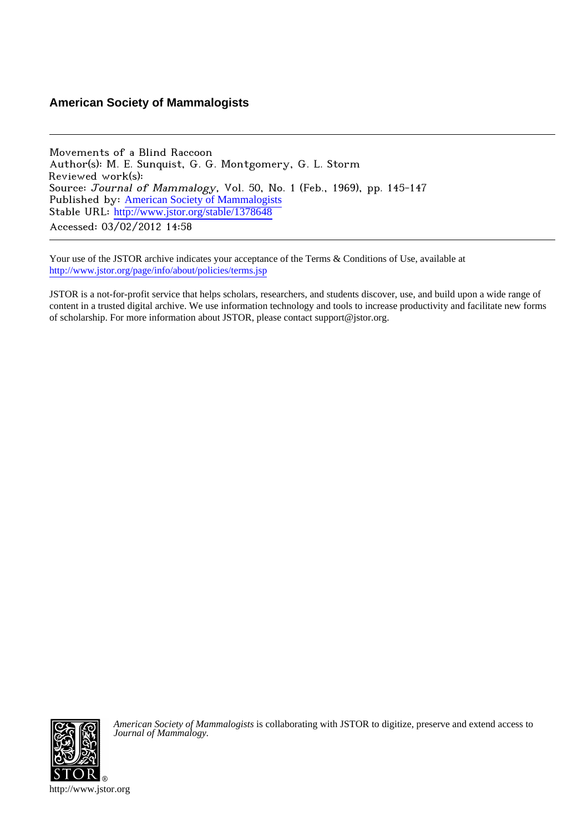# **American Society of Mammalogists**

Movements of a Blind Raccoon Author(s): M. E. Sunquist, G. G. Montgomery, G. L. Storm Reviewed work(s): Source: Journal of Mammalogy, Vol. 50, No. 1 (Feb., 1969), pp. 145-147 Published by: [American Society of Mammalogists](http://www.jstor.org/action/showPublisher?publisherCode=asm) Stable URL: [http://www.jstor.org/stable/1378648](http://www.jstor.org/stable/1378648?origin=JSTOR-pdf) Accessed: 03/02/2012 14:58

Your use of the JSTOR archive indicates your acceptance of the Terms & Conditions of Use, available at <http://www.jstor.org/page/info/about/policies/terms.jsp>

JSTOR is a not-for-profit service that helps scholars, researchers, and students discover, use, and build upon a wide range of content in a trusted digital archive. We use information technology and tools to increase productivity and facilitate new forms of scholarship. For more information about JSTOR, please contact support@jstor.org.



*American Society of Mammalogists* is collaborating with JSTOR to digitize, preserve and extend access to *Journal of Mammalogy.*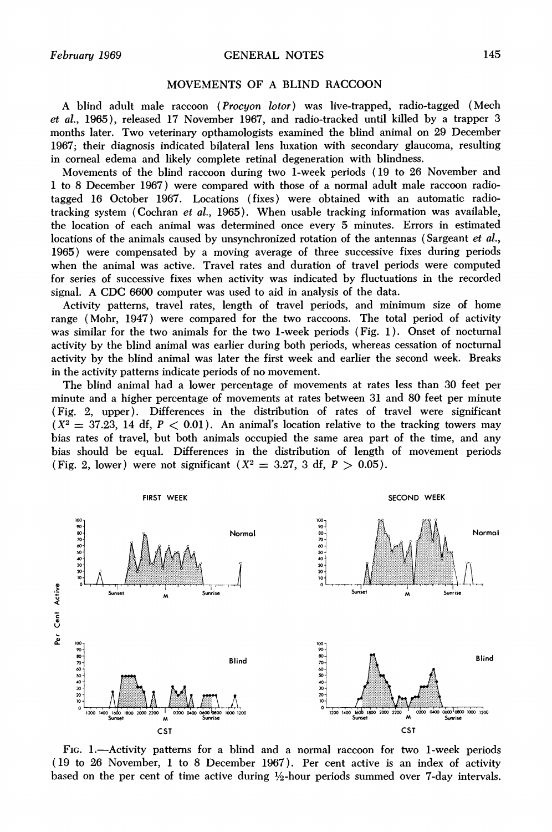### **February 1969 GENERAL NOTES 145**

# **MOVEMENTS OF A BLIND RACCOON**

**A blind adult male raccoon (Procyon lotor) was live-trapped, radio-tagged (Mech et al., 1965), released 17 November 1967, and radio-tracked until killed by a trapper 3 months later. Two veterinary opthamologists examined the blind animal on 29 December 1967; their diagnosis indicated bilateral lens luxation with secondary glaucoma, resulting in corneal edema and likely complete retinal degeneration with blindness.** 

**Movements of the blind raccoon during two 1-week periods (19 to 26 November and 1 to 8 December 1967) were compared with those of a normal adult male raccoon radiotagged 16 October 1967. Locations (fixes) were obtained with an automatic radiotracking system (Cochran et al., 1965). When usable tracking information was available, the location of each animal was determined once every 5 minutes. Errors in estimated locations of the animals caused by unsynchronized rotation of the antennas (Sargeant et al., 1965) were compensated by a moving average of three successive fixes during periods when the animal was active. Travel rates and duration of travel periods were computed for series of successive fixes when activity was indicated by fluctuations in the recorded signal. A CDC 6600 computer was used to aid in analysis of the data.** 

**Activity patterns, travel rates, length of travel periods, and minimum size of home range (Mohr, 1947) were compared for the two raccoons. The total period of activity was similar for the two animals for the two 1-week periods (Fig. 1). Onset of nocturnal activity by the blind animal was earlier during both periods, whereas cessation of nocturnal activity by the blind animal was later the first week and earlier the second week. Breaks in the activity patterns indicate periods of no movement.** 

**The blind animal had a lower percentage of movements at rates less than 30 feet per minute and a higher percentage of movements at rates between 31 and 80 feet per minute (Fig. 2, upper). Differences in the distribution of rates of travel were significant**   $(X^2 = 37.23, 14 \text{ df}, P < 0.01)$ . An animal's location relative to the tracking towers may **bias rates of travel, but both animals occupied the same area part of the time, and any bias should be equal. Differences in the distribution of length of movement periods**  (Fig. 2, lower) were not significant  $(X^2 = 3.27, 3 \text{ df}, P > 0.05)$ .



FIG. 1.—Activity patterns for a blind and a normal raccoon for two 1-week periods **(19 to 26 November, 1 to 8 December 1967). Per cent active is an index of activity**  based on the per cent of time active during  $\frac{1}{2}$ -hour periods summed over 7-day intervals.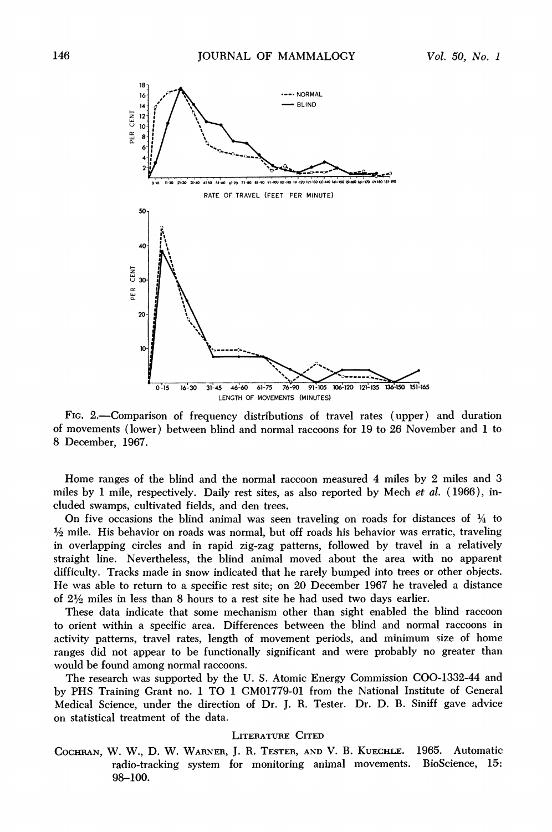

FIG. 2.—Comparison of frequency distributions of travel rates (upper) and duration of movements (lower) between blind and normal raccoons for 19 to 26 November and 1 to 8 December, 1967.

Home ranges of the blind and the normal raccoon measured 4 miles by 2 miles and 3 miles by 1 mile, respectively. Daily rest sites, as also reported by Mech et al. (1966), included swamps, cultivated fields, and den trees.

On five occasions the blind animal was seen traveling on roads for distances of  $\frac{1}{4}$  to  $\frac{1}{2}$  mile. His behavior on roads was normal, but off roads his behavior was erratic, traveling in overlapping circles and in rapid zig-zag patterns, followed by travel in a relatively straight line. Nevertheless, the blind animal moved about the area with no apparent difficulty. Tracks made in snow indicated that he rarely bumped into trees or other objects. He was able to return to a specific rest site; on 20 December 1967 he traveled a distance of  $2\frac{1}{2}$  miles in less than 8 hours to a rest site he had used two days earlier.

These data indicate that some mechanism other than sight enabled the blind raccoon to orient within a specific area. Differences between the blind and normal raccoons in activity patterns, travel rates, length of movement periods, and minimum size of home ranges did not appear to be functionally significant and were probably no greater than would be found among normal raccoons.

The research was supported by the U.S. Atomic Energy Commission COO-1332-44 and by PHS Training Grant no. 1 TO 1 GM01779-01 from the National Institute of General Medical Science, under the direction of Dr. J. R. Tester. Dr. D. B. Siniff gave advice on statistical treatment of the data.

#### **LITERATURE CITED**

COCHRAN, W. W., D. W. WARNER, J. R. TESTER, AND V. B. KUECHLE. 1965. Automatic radio-tracking system for monitoring animal movements. BioScience, 15: 98-100.